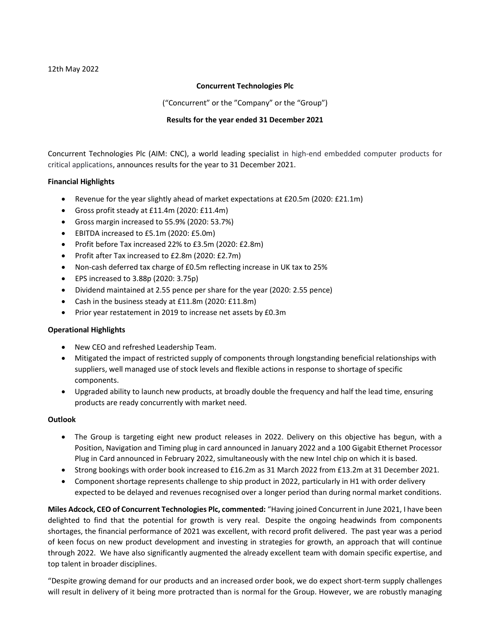## Concurrent Technologies Plc

("Concurrent" or the "Company" or the "Group")

### Results for the year ended 31 December 2021

Concurrent Technologies Plc (AIM: CNC), a world leading specialist in high-end embedded computer products for critical applications, announces results for the year to 31 December 2021.

# Financial Highlights

- Revenue for the year slightly ahead of market expectations at £20.5m (2020: £21.1m)
- Gross profit steady at £11.4m (2020: £11.4m)
- Gross margin increased to 55.9% (2020: 53.7%)
- EBITDA increased to £5.1m (2020: £5.0m)
- Profit before Tax increased 22% to £3.5m (2020: £2.8m)
- Profit after Tax increased to £2.8m (2020: £2.7m)
- Non-cash deferred tax charge of £0.5m reflecting increase in UK tax to 25%
- EPS increased to 3.88p (2020: 3.75p)
- Dividend maintained at 2.55 pence per share for the year (2020: 2.55 pence)
- Cash in the business steady at £11.8m (2020: £11.8m)
- Prior year restatement in 2019 to increase net assets by £0.3m

### Operational Highlights

- New CEO and refreshed Leadership Team.
- Mitigated the impact of restricted supply of components through longstanding beneficial relationships with suppliers, well managed use of stock levels and flexible actions in response to shortage of specific components.
- Upgraded ability to launch new products, at broadly double the frequency and half the lead time, ensuring products are ready concurrently with market need.

### Outlook

- The Group is targeting eight new product releases in 2022. Delivery on this objective has begun, with a Position, Navigation and Timing plug in card announced in January 2022 and a 100 Gigabit Ethernet Processor Plug in Card announced in February 2022, simultaneously with the new Intel chip on which it is based.
- Strong bookings with order book increased to £16.2m as 31 March 2022 from £13.2m at 31 December 2021.
- Component shortage represents challenge to ship product in 2022, particularly in H1 with order delivery expected to be delayed and revenues recognised over a longer period than during normal market conditions.

Miles Adcock, CEO of Concurrent Technologies Plc, commented: "Having joined Concurrent in June 2021, I have been delighted to find that the potential for growth is very real. Despite the ongoing headwinds from components shortages, the financial performance of 2021 was excellent, with record profit delivered. The past year was a period of keen focus on new product development and investing in strategies for growth, an approach that will continue through 2022. We have also significantly augmented the already excellent team with domain specific expertise, and top talent in broader disciplines.

"Despite growing demand for our products and an increased order book, we do expect short-term supply challenges will result in delivery of it being more protracted than is normal for the Group. However, we are robustly managing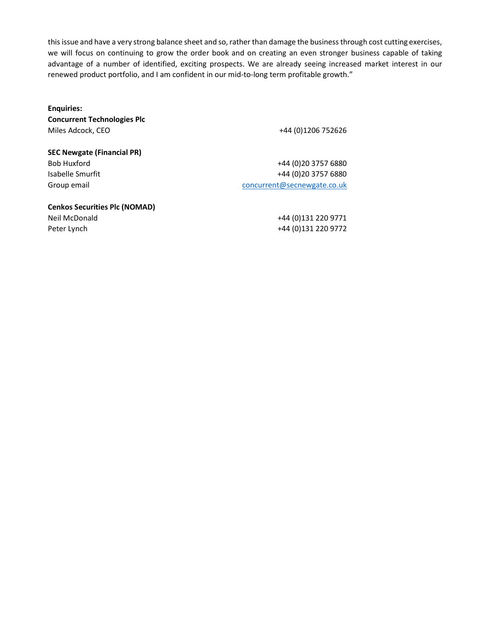this issue and have a very strong balance sheet and so, rather than damage the business through cost cutting exercises, we will focus on continuing to grow the order book and on creating an even stronger business capable of taking advantage of a number of identified, exciting prospects. We are already seeing increased market interest in our renewed product portfolio, and I am confident in our mid-to-long term profitable growth."

Enquiries: Concurrent Technologies Plc Miles Adcock, CEO +44 (0)1206 752626

SEC Newgate (Financial PR)

Bob Huxford +44 (0)20 3757 6880 Isabelle Smurfit +44 (0)20 3757 6880 Group email concurrent concurrent concurrent concurrent concurrent concurrent concurrent concurrent concurrent concurrent concurrent concurrent concurrent concurrent concurrent concurrent concurrent concurrent concurrent c

Cenkos Securities Plc (NOMAD)

Neil McDonald +44 (0)131 220 9771 Peter Lynch +44 (0)131 220 9772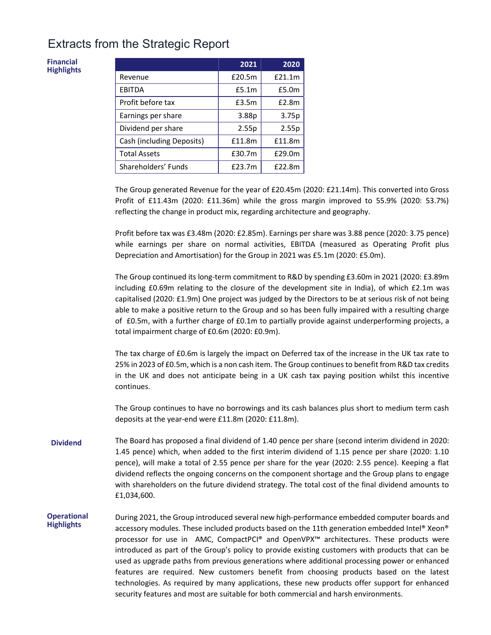# Extracts from the Strategic Report

Financial **Highlights** 

|                           | 2021              | 2020              |
|---------------------------|-------------------|-------------------|
| Revenue                   | £20.5m            | £21.1m            |
| <b>EBITDA</b>             | £5.1 <sub>m</sub> | £5.0 <sub>m</sub> |
| Profit before tax         | £3.5m             | £2.8m             |
| Earnings per share        | 3.88p             | 3.75p             |
| Dividend per share        | 2.55p             | 2.55p             |
| Cash (including Deposits) | £11.8m            | £11.8m            |
| <b>Total Assets</b>       | £30.7m            | £29.0m            |
| Shareholders' Funds       | £23.7m            | £22.8m            |

The Group generated Revenue for the year of £20.45m (2020: £21.14m). This converted into Gross Profit of £11.43m (2020: £11.36m) while the gross margin improved to 55.9% (2020: 53.7%) reflecting the change in product mix, regarding architecture and geography.

Profit before tax was £3.48m (2020: £2.85m). Earnings per share was 3.88 pence (2020: 3.75 pence) while earnings per share on normal activities, EBITDA (measured as Operating Profit plus Depreciation and Amortisation) for the Group in 2021 was £5.1m (2020: £5.0m).

The Group continued its long-term commitment to R&D by spending £3.60m in 2021 (2020: £3.89m including £0.69m relating to the closure of the development site in India), of which £2.1m was capitalised (2020: £1.9m) One project was judged by the Directors to be at serious risk of not being able to make a positive return to the Group and so has been fully impaired with a resulting charge of £0.5m, with a further charge of £0.1m to partially provide against underperforming projects, a total impairment charge of £0.6m (2020: £0.9m).

The tax charge of £0.6m is largely the impact on Deferred tax of the increase in the UK tax rate to 25% in 2023 of £0.5m, which is a non cash item. The Group continues to benefit from R&D tax credits in the UK and does not anticipate being in a UK cash tax paying position whilst this incentive continues.

The Group continues to have no borrowings and its cash balances plus short to medium term cash deposits at the year-end were £11.8m (2020: £11.8m).

- Dividend The Board has proposed a final dividend of 1.40 pence per share (second interim dividend in 2020: 1.45 pence) which, when added to the first interim dividend of 1.15 pence per share (2020: 1.10 pence), will make a total of 2.55 pence per share for the year (2020: 2.55 pence). Keeping a flat dividend reflects the ongoing concerns on the component shortage and the Group plans to engage with shareholders on the future dividend strategy. The total cost of the final dividend amounts to £1,034,600.
- **Operational Highlights** During 2021, the Group introduced several new high-performance embedded computer boards and accessory modules. These included products based on the 11th generation embedded Intel® Xeon® processor for use in AMC, CompactPCI® and OpenVPX™ architectures. These products were introduced as part of the Group's policy to provide existing customers with products that can be used as upgrade paths from previous generations where additional processing power or enhanced features are required. New customers benefit from choosing products based on the latest technologies. As required by many applications, these new products offer support for enhanced security features and most are suitable for both commercial and harsh environments.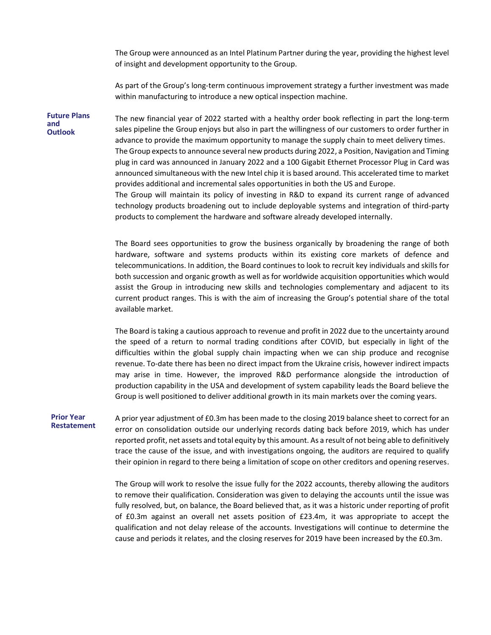The Group were announced as an Intel Platinum Partner during the year, providing the highest level of insight and development opportunity to the Group.

As part of the Group's long-term continuous improvement strategy a further investment was made within manufacturing to introduce a new optical inspection machine.

Future Plans and **Outlook** The new financial year of 2022 started with a healthy order book reflecting in part the long-term sales pipeline the Group enjoys but also in part the willingness of our customers to order further in advance to provide the maximum opportunity to manage the supply chain to meet delivery times. The Group expects to announce several new products during 2022, a Position, Navigation and Timing plug in card was announced in January 2022 and a 100 Gigabit Ethernet Processor Plug in Card was announced simultaneous with the new Intel chip it is based around. This accelerated time to market provides additional and incremental sales opportunities in both the US and Europe. The Group will maintain its policy of investing in R&D to expand its current range of advanced technology products broadening out to include deployable systems and integration of third-party products to complement the hardware and software already developed internally.

> The Board sees opportunities to grow the business organically by broadening the range of both hardware, software and systems products within its existing core markets of defence and telecommunications. In addition, the Board continues to look to recruit key individuals and skills for both succession and organic growth as well as for worldwide acquisition opportunities which would assist the Group in introducing new skills and technologies complementary and adjacent to its current product ranges. This is with the aim of increasing the Group's potential share of the total available market.

> The Board is taking a cautious approach to revenue and profit in 2022 due to the uncertainty around the speed of a return to normal trading conditions after COVID, but especially in light of the difficulties within the global supply chain impacting when we can ship produce and recognise revenue. To-date there has been no direct impact from the Ukraine crisis, however indirect impacts may arise in time. However, the improved R&D performance alongside the introduction of production capability in the USA and development of system capability leads the Board believe the Group is well positioned to deliver additional growth in its main markets over the coming years.

#### Prior Year Restatement

A prior year adjustment of £0.3m has been made to the closing 2019 balance sheet to correct for an error on consolidation outside our underlying records dating back before 2019, which has under reported profit, net assets and total equity by this amount. As a result of not being able to definitively trace the cause of the issue, and with investigations ongoing, the auditors are required to qualify their opinion in regard to there being a limitation of scope on other creditors and opening reserves.

The Group will work to resolve the issue fully for the 2022 accounts, thereby allowing the auditors to remove their qualification. Consideration was given to delaying the accounts until the issue was fully resolved, but, on balance, the Board believed that, as it was a historic under reporting of profit of £0.3m against an overall net assets position of £23.4m, it was appropriate to accept the qualification and not delay release of the accounts. Investigations will continue to determine the cause and periods it relates, and the closing reserves for 2019 have been increased by the £0.3m.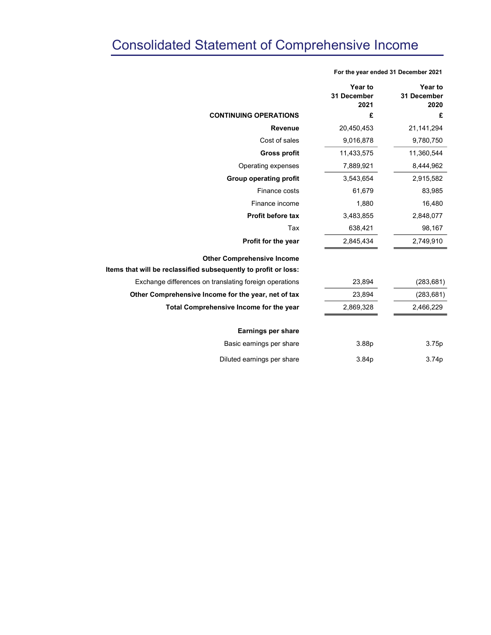# Consolidated Statement of Comprehensive Income

|                                                                 | Year to<br>31 December<br>2021 | Year to<br>31 December<br>2020 |  |
|-----------------------------------------------------------------|--------------------------------|--------------------------------|--|
| <b>CONTINUING OPERATIONS</b>                                    | £                              | £                              |  |
| <b>Revenue</b>                                                  | 20,450,453                     | 21,141,294                     |  |
| Cost of sales                                                   | 9,016,878                      | 9,780,750                      |  |
| <b>Gross profit</b>                                             | 11,433,575                     | 11,360,544                     |  |
| Operating expenses                                              | 7,889,921                      | 8,444,962                      |  |
| <b>Group operating profit</b>                                   | 3,543,654                      | 2,915,582                      |  |
| Finance costs                                                   | 61,679                         | 83,985                         |  |
| Finance income                                                  | 1,880                          | 16,480                         |  |
| Profit before tax                                               | 3,483,855                      | 2,848,077                      |  |
| Tax                                                             | 638,421                        | 98,167                         |  |
| Profit for the year                                             | 2,845,434                      | 2,749,910                      |  |
| <b>Other Comprehensive Income</b>                               |                                |                                |  |
| Items that will be reclassified subsequently to profit or loss: |                                |                                |  |
| Exchange differences on translating foreign operations          | 23,894                         | (283, 681)                     |  |
| Other Comprehensive Income for the year, net of tax             | 23,894                         | (283, 681)                     |  |
| Total Comprehensive Income for the year                         | 2,869,328                      | 2,466,229                      |  |
| <b>Earnings per share</b>                                       |                                |                                |  |
| Basic earnings per share                                        | 3.88p                          | 3.75p                          |  |
| Diluted earnings per share                                      | 3.84p                          | 3.74p                          |  |

For the year ended 31 December 2021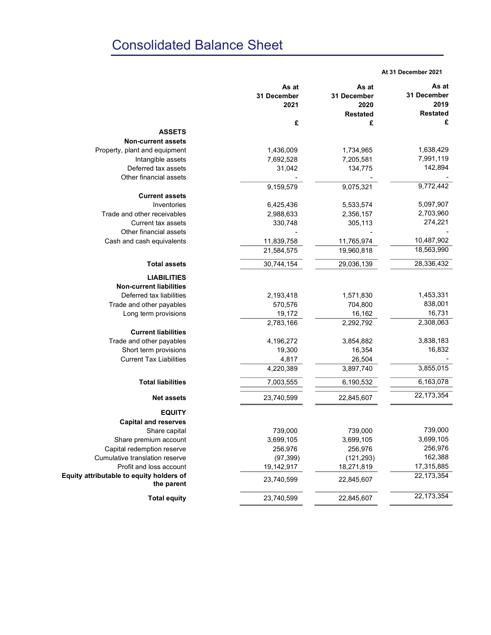# Consolidated Balance Sheet

#### At 31 December 2021

|                                                         | As at       | As at           | As at           |  |
|---------------------------------------------------------|-------------|-----------------|-----------------|--|
|                                                         | 31 December | 31 December     | 31 December     |  |
|                                                         | 2021        | 2020            | 2019            |  |
|                                                         |             | <b>Restated</b> | <b>Restated</b> |  |
|                                                         | £           | £               | £               |  |
| <b>ASSETS</b>                                           |             |                 |                 |  |
| <b>Non-current assets</b>                               |             |                 |                 |  |
| Property, plant and equipment                           | 1,436,009   | 1,734,965       | 1,638,429       |  |
| Intangible assets                                       | 7,692,528   | 7,205,581       | 7,991,119       |  |
| Deferred tax assets                                     | 31,042      | 134,775         | 142,894         |  |
| Other financial assets                                  |             |                 |                 |  |
|                                                         | 9,159,579   | 9,075,321       | 9,772,442       |  |
| <b>Current assets</b>                                   |             |                 |                 |  |
| Inventories                                             | 6,425,436   | 5,533,574       | 5,097,907       |  |
| Trade and other receivables                             | 2,988,633   | 2,356,157       | 2,703,960       |  |
| <b>Current tax assets</b>                               | 330,748     | 305,113         | 274,221         |  |
| Other financial assets                                  |             |                 |                 |  |
| Cash and cash equivalents                               | 11,839,758  | 11,765,974      | 10,487,902      |  |
|                                                         | 21,584,575  | 19,960,818      | 18,563,990      |  |
| <b>Total assets</b>                                     | 30,744,154  | 29,036,139      | 28,336,432      |  |
| <b>LIABILITIES</b>                                      |             |                 |                 |  |
| <b>Non-current liabilities</b>                          |             |                 |                 |  |
| Deferred tax liabilities                                | 2,193,418   | 1,571,830       | 1,453,331       |  |
| Trade and other payables                                | 570,576     | 704,800         | 838,001         |  |
| Long term provisions                                    | 19,172      | 16,162          | 16,731          |  |
|                                                         | 2,783,166   | 2,292,792       | 2,308,063       |  |
| <b>Current liabilities</b>                              |             |                 |                 |  |
|                                                         |             |                 | 3,838,183       |  |
| Trade and other payables                                | 4,196,272   | 3,854,882       | 16,832          |  |
| Short term provisions<br><b>Current Tax Liabilities</b> | 19,300      | 16,354          |                 |  |
|                                                         | 4,817       | 26,504          | 3,855,015       |  |
|                                                         | 4,220,389   | 3,897,740       |                 |  |
| <b>Total liabilities</b>                                | 7,003,555   | 6,190,532       | 6,163,078       |  |
| <b>Net assets</b>                                       | 23,740,599  | 22,845,607      | 22, 173, 354    |  |
| <b>EQUITY</b>                                           |             |                 |                 |  |
| <b>Capital and reserves</b>                             |             |                 |                 |  |
| Share capital                                           | 739,000     | 739,000         | 739,000         |  |
| Share premium account                                   | 3,699,105   | 3,699,105       | 3,699,105       |  |
| Capital redemption reserve                              | 256,976     | 256,976         | 256,976         |  |
| Cumulative translation reserve                          | (97, 399)   | (121, 293)      | 162,388         |  |
| Profit and loss account                                 | 19,142,917  | 18,271,819      | 17,315,885      |  |
| Equity attributable to equity holders of                |             |                 | 22, 173, 354    |  |
| the parent                                              | 23,740,599  | 22,845,607      |                 |  |
| <b>Total equity</b>                                     | 23,740,599  | 22,845,607      | 22, 173, 354    |  |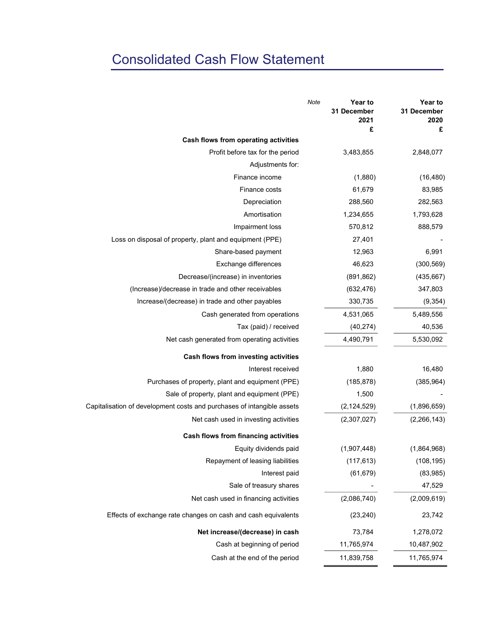# Consolidated Cash Flow Statement

|                                                                        | 31 December<br>2021<br>£ | <b>Year to</b><br>31 December<br>2020<br>£ |
|------------------------------------------------------------------------|--------------------------|--------------------------------------------|
| Cash flows from operating activities                                   |                          |                                            |
| Profit before tax for the period                                       | 3,483,855                | 2,848,077                                  |
| Adjustments for:                                                       |                          |                                            |
| Finance income                                                         | (1,880)                  | (16, 480)                                  |
| Finance costs                                                          | 61,679                   | 83,985                                     |
| Depreciation                                                           | 288,560                  | 282,563                                    |
| Amortisation                                                           | 1,234,655                | 1,793,628                                  |
| Impairment loss                                                        | 570,812                  | 888,579                                    |
| Loss on disposal of property, plant and equipment (PPE)                | 27,401                   |                                            |
| Share-based payment                                                    | 12,963                   | 6,991                                      |
| Exchange differences                                                   | 46,623                   | (300, 569)                                 |
| Decrease/(increase) in inventories                                     | (891, 862)               | (435, 667)                                 |
| (Increase)/decrease in trade and other receivables                     | (632, 476)               | 347,803                                    |
| Increase/(decrease) in trade and other payables                        | 330,735                  | (9, 354)                                   |
| Cash generated from operations                                         | 4,531,065                | 5,489,556                                  |
| Tax (paid) / received                                                  | (40, 274)                | 40,536                                     |
| Net cash generated from operating activities                           | 4,490,791                | 5,530,092                                  |
| Cash flows from investing activities                                   |                          |                                            |
| Interest received                                                      | 1,880                    | 16,480                                     |
| Purchases of property, plant and equipment (PPE)                       | (185, 878)               | (385, 964)                                 |
| Sale of property, plant and equipment (PPE)                            | 1,500                    |                                            |
| Capitalisation of development costs and purchases of intangible assets | (2, 124, 529)            | (1,896,659)                                |
| Net cash used in investing activities                                  | (2,307,027)              | (2,266,143)                                |
| Cash flows from financing activities                                   |                          |                                            |
| Equity dividends paid                                                  | (1,907,448)              | (1,864,968)                                |
| Repayment of leasing liabilities                                       | (117, 613)               | (108, 195)                                 |
| Interest paid                                                          | (61, 679)                | (83,985)                                   |
| Sale of treasury shares                                                |                          | 47,529                                     |
| Net cash used in financing activities                                  | (2,086,740)              | (2,009,619)                                |
| Effects of exchange rate changes on cash and cash equivalents          | (23, 240)                | 23,742                                     |
| Net increase/(decrease) in cash                                        | 73,784                   | 1,278,072                                  |
| Cash at beginning of period                                            | 11,765,974               | 10,487,902                                 |
| Cash at the end of the period                                          | 11,839,758               | 11,765,974                                 |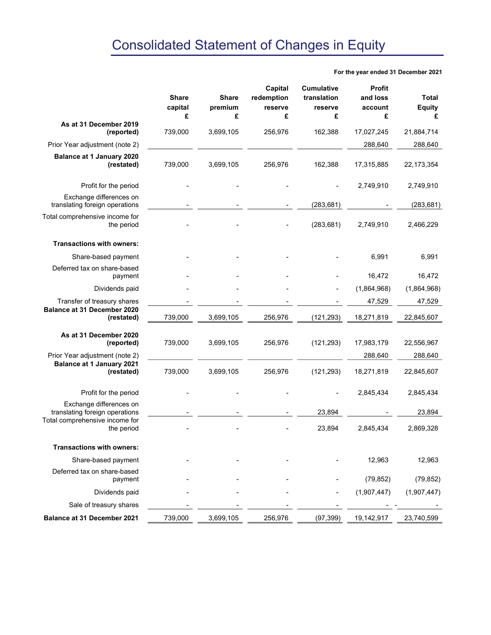For the year ended 31 December 2021

|                                                           | <b>Share</b><br>capital | <b>Share</b><br>premium | Capital<br>redemption<br>reserve | <b>Cumulative</b><br>translation<br>reserve | Profit<br>and loss<br>account | <b>Total</b><br><b>Equity</b> |
|-----------------------------------------------------------|-------------------------|-------------------------|----------------------------------|---------------------------------------------|-------------------------------|-------------------------------|
| As at 31 December 2019                                    | £                       | £                       | £                                | £                                           | £                             | £                             |
| (reported)                                                | 739,000                 | 3,699,105               | 256,976                          | 162,388                                     | 17,027,245                    | 21,884,714                    |
| Prior Year adjustment (note 2)                            |                         |                         |                                  |                                             | 288,640                       | 288,640                       |
| Balance at 1 January 2020<br>(restated)                   | 739,000                 | 3,699,105               | 256,976                          | 162,388                                     | 17,315,885                    | 22, 173, 354                  |
| Profit for the period                                     |                         |                         |                                  |                                             | 2,749,910                     | 2,749,910                     |
| Exchange differences on<br>translating foreign operations |                         |                         |                                  | (283, 681)                                  |                               | (283, 681)                    |
| Total comprehensive income for<br>the period              |                         |                         |                                  | (283, 681)                                  | 2,749,910                     | 2,466,229                     |
| <b>Transactions with owners:</b>                          |                         |                         |                                  |                                             |                               |                               |
| Share-based payment                                       |                         |                         |                                  |                                             | 6,991                         | 6,991                         |
| Deferred tax on share-based<br>payment                    |                         |                         |                                  |                                             | 16,472                        | 16,472                        |
| Dividends paid                                            |                         |                         |                                  |                                             | (1,864,968)                   | (1,864,968)                   |
| Transfer of treasury shares                               |                         |                         |                                  |                                             | 47,529                        | 47,529                        |
| <b>Balance at 31 December 2020</b><br>(restated)          | 739,000                 | 3,699,105               | 256,976                          | (121, 293)                                  | 18,271,819                    | 22,845,607                    |
| As at 31 December 2020<br>(reported)                      | 739,000                 | 3,699,105               | 256,976                          | (121, 293)                                  | 17,983,179                    | 22,556,967                    |
| Prior Year adjustment (note 2)                            |                         |                         |                                  |                                             | 288,640                       | 288,640                       |
| <b>Balance at 1 January 2021</b><br>(restated)            | 739,000                 | 3,699,105               | 256,976                          | (121, 293)                                  | 18,271,819                    | 22,845,607                    |
| Profit for the period                                     |                         |                         |                                  |                                             | 2,845,434                     | 2,845,434                     |
| Exchange differences on<br>translating foreign operations |                         |                         |                                  | 23,894                                      |                               | 23,894                        |
| Total comprehensive income for<br>the period              |                         |                         |                                  | 23,894                                      | 2,845,434                     | 2,869,328                     |
| <b>Transactions with owners:</b>                          |                         |                         |                                  |                                             |                               |                               |
| Share-based payment                                       |                         |                         |                                  |                                             | 12,963                        | 12,963                        |
| Deferred tax on share-based<br>payment                    |                         |                         |                                  |                                             | (79, 852)                     | (79, 852)                     |
| Dividends paid                                            |                         |                         |                                  |                                             | (1,907,447)                   | (1,907,447)                   |
| Sale of treasury shares                                   |                         |                         |                                  |                                             |                               |                               |
| Balance at 31 December 2021                               | 739,000                 | 3,699,105               | 256,976                          | (97, 399)                                   | 19,142,917                    | 23,740,599                    |